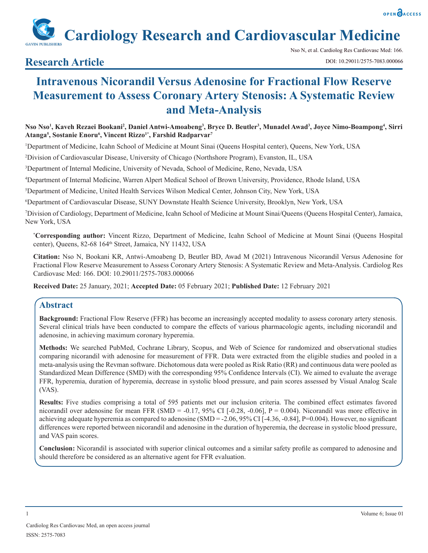**Cardiology Research and Cardiovascular Medicine**

## **Research Article**

# **Intravenous Nicorandil Versus Adenosine for Fractional Flow Reserve Measurement to Assess Coronary Artery Stenosis: A Systematic Review and Meta-Analysis**

**Nso Nso1 , Kaveh Rezaei Bookani2 , Daniel Antwi-Amoabeng3 , Bryce D. Beutler3 , Munadel Awad3 , Joyce Nimo-Boampong4 , Sirri Atanga5 , Sostanie Enoru6 , Vincent Rizzo1\*, Farshid Radparvar7**

1 Department of Medicine, Icahn School of Medicine at Mount Sinai (Queens Hospital center), Queens, New York, USA

2 Division of Cardiovascular Disease, University of Chicago (Northshore Program), Evanston, IL, USA

3 Department of Internal Medicine, University of Nevada, School of Medicine, Reno, Nevada, USA

4 Department of Internal Medicine, Warren Alpert Medical School of Brown University, Providence, Rhode Island, USA

5 Department of Medicine, United Health Services Wilson Medical Center, Johnson City, New York, USA

6 Department of Cardiovascular Disease, SUNY Downstate Health Science University, Brooklyn, New York, USA

7 Division of Cardiology, Department of Medicine, Icahn School of Medicine at Mount Sinai/Queens (Queens Hospital Center), Jamaica, New York, USA

**\* Corresponding author:** Vincent Rizzo, Department of Medicine, Icahn School of Medicine at Mount Sinai (Queens Hospital center), Queens, 82-68 164<sup>th</sup> Street, Jamaica, NY 11432, USA

**Citation:** Nso N, Bookani KR, Antwi-Amoabeng D, Beutler BD, Awad M (2021) Intravenous Nicorandil Versus Adenosine for Fractional Flow Reserve Measurement to Assess Coronary Artery Stenosis: A Systematic Review and Meta-Analysis. Cardiolog Res Cardiovasc Med: 166. DOI: 10.29011/2575-7083.000066

**Received Date:** 25 January, 2021; **Accepted Date:** 05 February 2021; **Published Date:** 12 February 2021

### **Abstract**

**Background:** Fractional Flow Reserve (FFR) has become an increasingly accepted modality to assess coronary artery stenosis. Several clinical trials have been conducted to compare the effects of various pharmacologic agents, including nicorandil and adenosine, in achieving maximum coronary hyperemia.

**Methods:** We searched PubMed, Cochrane Library, Scopus, and Web of Science for randomized and observational studies comparing nicorandil with adenosine for measurement of FFR. Data were extracted from the eligible studies and pooled in a meta-analysis using the Revman software. Dichotomous data were pooled as Risk Ratio (RR) and continuous data were pooled as Standardized Mean Difference (SMD) with the corresponding 95% Confidence Intervals (CI). We aimed to evaluate the average FFR, hyperemia, duration of hyperemia, decrease in systolic blood pressure, and pain scores assessed by Visual Analog Scale (VAS).

**Results:** Five studies comprising a total of 595 patients met our inclusion criteria. The combined effect estimates favored nicorandil over adenosine for mean FFR (SMD = -0.17, 95% CI [-0.28, -0.06], P = 0.004). Nicorandil was more effective in achieving adequate hyperemia as compared to adenosine  $(SMD = -2.06, 95\% \text{ CI} [-4.36, -0.84], P=0.004)$ . However, no significant differences were reported between nicorandil and adenosine in the duration of hyperemia, the decrease in systolic blood pressure, and VAS pain scores.

**Conclusion:** Nicorandil is associated with superior clinical outcomes and a similar safety profile as compared to adenosine and should therefore be considered as an alternative agent for FFR evaluation.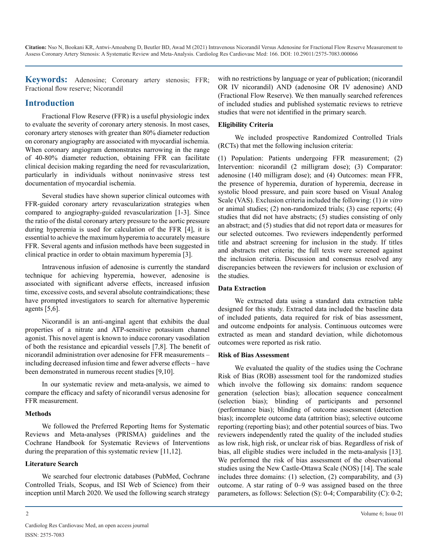**Keywords:** Adenosine; Coronary artery stenosis; FFR; Fractional flow reserve; Nicorandil

### **Introduction**

Fractional Flow Reserve (FFR) is a useful physiologic index to evaluate the severity of coronary artery stenosis. In most cases, coronary artery stenoses with greater than 80% diameter reduction on coronary angiography are associated with myocardial ischemia. When coronary angiogram demonstrates narrowing in the range of 40-80% diameter reduction, obtaining FFR can facilitate clinical decision making regarding the need for revascularization, particularly in individuals without noninvasive stress test documentation of myocardial ischemia.

Several studies have shown superior clinical outcomes with FFR-guided coronary artery revascularization strategies when compared to angiography-guided revascularization [1-3]. Since the ratio of the distal coronary artery pressure to the aortic pressure during hyperemia is used for calculation of the FFR [4], it is essential to achieve the maximum hyperemia to accurately measure FFR. Several agents and infusion methods have been suggested in clinical practice in order to obtain maximum hyperemia [3].

Intravenous infusion of adenosine is currently the standard technique for achieving hyperemia, however, adenosine is associated with significant adverse effects, increased infusion time, excessive costs, and several absolute contraindications; these have prompted investigators to search for alternative hyperemic agents [5,6].

Nicorandil is an anti-anginal agent that exhibits the dual properties of a nitrate and ATP-sensitive potassium channel agonist. This novel agent is known to induce coronary vasodilation of both the resistance and epicardial vessels [7,8]. The benefit of nicorandil administration over adenosine for FFR measurements – including decreased infusion time and fewer adverse effects – have been demonstrated in numerous recent studies [9,10].

In our systematic review and meta-analysis, we aimed to compare the efficacy and safety of nicorandil versus adenosine for FFR measurement.

### **Methods**

We followed the Preferred Reporting Items for Systematic Reviews and Meta-analyses (PRISMA) guidelines and the Cochrane Handbook for Systematic Reviews of Interventions during the preparation of this systematic review [11,12].

### **Literature Search**

We searched four electronic databases (PubMed, Cochrane Controlled Trials, Scopus, and ISI Web of Science) from their inception until March 2020. We used the following search strategy with no restrictions by language or year of publication; (nicorandil OR IV nicorandil) AND (adenosine OR IV adenosine) AND (Fractional Flow Reserve). We then manually searched references of included studies and published systematic reviews to retrieve studies that were not identified in the primary search.

### **Eligibility Criteria**

We included prospective Randomized Controlled Trials (RCTs) that met the following inclusion criteria:

(1) Population: Patients undergoing FFR measurement; (2) Intervention: nicorandil (2 milligram dose); (3) Comparator: adenosine (140 milligram dose); and (4) Outcomes: mean FFR, the presence of hyperemia, duration of hyperemia, decrease in systolic blood pressure, and pain score based on Visual Analog Scale (VAS). Exclusion criteria included the following: (1) *in vitro* or animal studies; (2) non-randomized trials; (3) case reports; (4) studies that did not have abstracts; (5) studies consisting of only an abstract; and (5) studies that did not report data or measures for our selected outcomes. Two reviewers independently performed title and abstract screening for inclusion in the study. If titles and abstracts met criteria; the full texts were screened against the inclusion criteria. Discussion and consensus resolved any discrepancies between the reviewers for inclusion or exclusion of the studies.

#### **Data Extraction**

We extracted data using a standard data extraction table designed for this study. Extracted data included the baseline data of included patients, data required for risk of bias assessment, and outcome endpoints for analysis. Continuous outcomes were extracted as mean and standard deviation, while dichotomous outcomes were reported as risk ratio.

### **Risk of Bias Assessment**

We evaluated the quality of the studies using the Cochrane Risk of Bias (ROB) assessment tool for the randomized studies which involve the following six domains: random sequence generation (selection bias); allocation sequence concealment (selection bias); blinding of participants and personnel (performance bias); blinding of outcome assessment (detection bias); incomplete outcome data (attrition bias); selective outcome reporting (reporting bias); and other potential sources of bias. Two reviewers independently rated the quality of the included studies as low risk, high risk, or unclear risk of bias. Regardless of risk of bias, all eligible studies were included in the meta-analysis [13]. We performed the risk of bias assessment of the observational studies using the New Castle-Ottawa Scale (NOS) [14]. The scale includes three domains: (1) selection, (2) comparability, and (3) outcome. A star rating of 0–9 was assigned based on the three parameters, as follows: Selection (S): 0-4; Comparability (C): 0-2;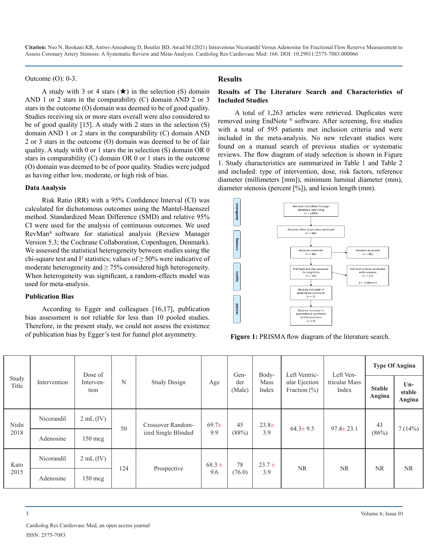Outcome (O): 0-3.

A study with 3 or 4 stars  $(\star)$  in the selection (S) domain AND 1 or 2 stars in the comparability (C) domain AND 2 or 3 stars in the outcome (O) domain was deemed to be of good quality. Studies receiving six or more stars overall were also considered to be of good quality [15]. A study with 2 stars in the selection (S) domain AND 1 or 2 stars in the comparability (C) domain AND 2 or 3 stars in the outcome (O) domain was deemed to be of fair quality. A study with 0 or 1 stars the in selection (S) domain OR 0 stars in comparability (C) domain OR 0 or 1 stars in the outcome (O) domain was deemed to be of poor quality. Studies were judged as having either low, moderate, or high risk of bias.

#### **Data Analysis**

Risk Ratio (RR) with a 95% Confidence Interval (CI) was calculated for dichotomous outcomes using the Mantel-Haenszel method. Standardized Mean Difference (SMD) and relative 95% CI were used for the analysis of continuous outcomes. We used RevMan® software for statistical analysis (Review Manager Version 5.3; the Cochrane Collaboration, Copenhagen, Denmark). We assessed the statistical heterogeneity between studies using the chi-square test and  $I^2$  statistics; values of  $\geq$  50% were indicative of moderate heterogeneity and  $\geq$  75% considered high heterogeneity. When heterogeneity was significant, a random-effects model was used for meta-analysis.

#### **Publication Bias**

According to Egger and colleagues [16,17], publication bias assessment is not reliable for less than 10 pooled studies. Therefore, in the present study, we could not assess the existence of publication bias by Egger's test for funnel plot asymmetry.

#### **Results**

#### **Results of The Literature Search and Characteristics of Included Studies**

A total of 1,263 articles were retrieved. Duplicates were removed using EndNote ® software. After screening, five studies with a total of 595 patients met inclusion criteria and were included in the meta-analysis. No new relevant studies were found on a manual search of previous studies or systematic reviews. The flow diagram of study selection is shown in Figure 1. Study characteristics are summarized in Table 1 and Table 2 and included: type of intervention, dose, risk factors, reference diameter (millimeters [mm]), minimum luminal diameter (mm), diameter stenosis (percent [%]), and lesion length (mm).



**Figure 1:** PRISMA flow diagram of the literature search.

|                |              | Dose of           |     |                                          |                   | Gen-          | Body-           | Left Ventric-                     | Left Ven-              | <b>Type Of Angina</b>   |                           |
|----------------|--------------|-------------------|-----|------------------------------------------|-------------------|---------------|-----------------|-----------------------------------|------------------------|-------------------------|---------------------------|
| Study<br>Title | Intervention | Interven-<br>tion | N   | <b>Study Design</b>                      | Age               | der<br>(Male) | Mass<br>Index   | ular Ejection<br>Fraction $(\% )$ | tricular Mass<br>Index | <b>Stable</b><br>Angina | $Un-$<br>stable<br>Angina |
| Nishi          | Nicorandil   | $2mL$ (IV)        | 50  | Crossover Random-<br>ized Single Blinded | $69.7\pm$<br>9.9  | 45<br>(88%)   | $23.8+$<br>3.9  | $64.3 \pm 9.5$                    | $97.4 \pm 23.1$        | 43<br>(86%)             | 7(14%)                    |
| 2018           | Adenosine    | $150 \text{ meg}$ |     |                                          |                   |               |                 |                                   |                        |                         |                           |
| Kato<br>2015   | Nicorandil   | $2mL$ (IV)        |     | Prospective                              | $68.3 \pm$<br>9.6 | 78<br>(76.0)  | $23.7 +$<br>3.9 | NR.                               | <b>NR</b>              | <b>NR</b>               | <b>NR</b>                 |
|                | Adenosine    | $150 \text{ meg}$ | 124 |                                          |                   |               |                 |                                   |                        |                         |                           |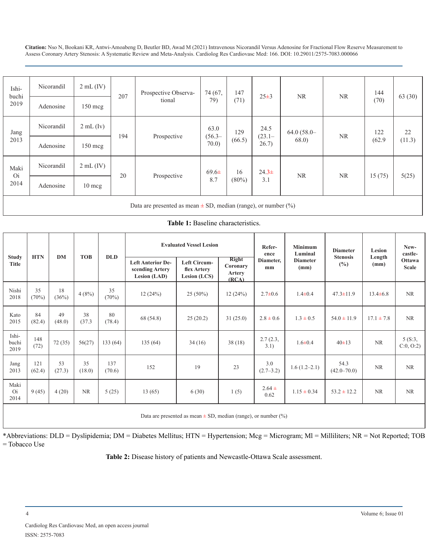| Ishi-<br>buchi<br>2019                                                | Nicorandil | $2 \text{ mL (IV)}$ | 207 | Prospective Observa- | 74 (67,<br>79)            | 147<br>(71)    | $25 \pm 3$                 | <b>NR</b>             | <b>NR</b> | 144<br>(70)   | 63(30)       |
|-----------------------------------------------------------------------|------------|---------------------|-----|----------------------|---------------------------|----------------|----------------------------|-----------------------|-----------|---------------|--------------|
|                                                                       | Adenosine  | 150 mcg             |     | tional               |                           |                |                            |                       |           |               |              |
| Jang<br>2013                                                          | Nicorandil | $2mL$ (Iv)          | 194 | Prospective          | 63.0<br>$(56.3 -$<br>70.0 | 129<br>(66.5)  | 24.5<br>$(23.1 -$<br>26.7) | $64.0(58.0-$<br>68.0) | <b>NR</b> | 122<br>(62.9) | 22<br>(11.3) |
|                                                                       | Adenosine  | 150 mcg             |     |                      |                           |                |                            |                       |           |               |              |
| Maki<br><b>Oi</b><br>2014                                             | Nicorandil | $2mL$ (IV)          | 20  | Prospective          | $69.6\pm$<br>8.7          | 16<br>$(80\%)$ | $24.3+$<br>3.1             | <b>NR</b>             | <b>NR</b> | 15(75)        | 5(25)        |
|                                                                       | Adenosine  | $10 \text{ mcg}$    |     |                      |                           |                |                            |                       |           |               |              |
| Data are presented as mean $\pm$ SD, median (range), or number $(\%)$ |            |                     |     |                      |                           |                |                            |                       |           |               |              |

**Table 1:** Baseline characteristics.

**Study Title HTN DM TOB DLD Evaluated Vessel Lesion** Refer**ence Diameter, mm Minimum Luminal Diameter (mm) Diameter Stenosis (%) Lesion Length (mm) Newcastle-Ottawa Scale Left Anterior Descending Artery Lesion (LAD) Left Circumflex Artery Lesion (LCS) Right Coronary Artery (RCA)** Nishi 2018 35  $(70%)$ 18  $\begin{array}{c|c} 18 & 4 (8\%) & 35 \\ (36\%) & 4 (8\%) & (70\%) \end{array}$ (70%) 12 (24%) 25 (50%) 12 (24%) 2.7±0.6 1.4±0.4 47.3±11.9 13.4±6.8 NR Kato 2015 84 (82.4) 49 (48.0) 38 (37.3  $80$ <br>(78.4) (78.4) 68 (54.8) 25 (20.2) 31 (25.0)  $2.8 \pm 0.6$   $1.3 \pm 0.5$  54.0  $\pm 11.9$  17.1  $\pm 7.8$  NR Ishibuchi 2019 148  $\begin{array}{|c|c|c|c|c|c|c|c|c|} \hline 148 & 72 & (35) & 56(27) & 133 & (64) & 135 & (64) & 34 & (16) & 38 & (18) & 2.7 & (2.3, 1) \ \hline \end{array}$  $\begin{array}{c|c}\n7(2.3, 3.1) & 1.6 \pm 0.4 \\
1.6 \pm 0.4 & 40 \pm 13\n\end{array}$  NR  $\begin{array}{c|c}\n5(8.3, 5.1) & 5(8.3, 5.1) \\
\hline\n\end{array}$ C:0, O:2) Jang 2013 121 (62.4) 53 (27.3) 35 (18.0) 137 (70.6) <sup>152</sup> <sup>19</sup> <sup>23</sup> 3.0 (2.7–3.2) 1.6 (1.2–2.1) 54.3  $(42.0-70.0)$  NR NR Maki Oi 2014  $9 (45)$  4 (20) NR  $5 (25)$  13 (65) 6 (30) 1 (5)  $2.64 \pm 0.62$  $0.62$  1.15 ± 0.34 53.2 ± 12.2 NR NR Data are presented as mean  $\pm$  SD, median (range), or number (%)

\*Abbreviations: DLD = Dyslipidemia; DM = Diabetes Mellitus; HTN = Hypertension; Mcg = Microgram; Ml = Milliliters; NR = Not Reported; TOB = Tobacco Use

**Table 2:** Disease history of patients and Newcastle-Ottawa Scale assessment.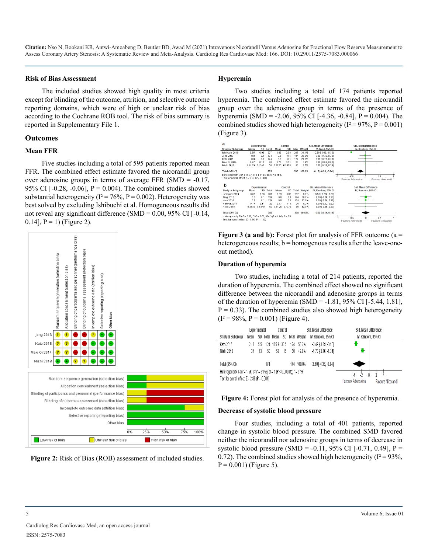#### **Risk of Bias Assessment**

The included studies showed high quality in most criteria except for blinding of the outcome, attrition, and selective outcome reporting domains, which were of high or unclear risk of bias according to the Cochrane ROB tool. The risk of bias summary is reported in Supplementary File 1.

### **Outcomes**

#### **Mean FFR**

Five studies including a total of 595 patients reported mean FFR. The combined effect estimate favored the nicorandil group over adenosine groups in terms of average FFR (SMD = -0.17, 95% CI [-0.28, -0.06],  $P = 0.004$ ). The combined studies showed substantial heterogeneity ( $I^2 = 76\%$ ,  $P = 0.002$ ). Heterogeneity was best solved by excluding Ishibuchi et al. Homogeneous results did not reveal any significant difference (SMD =  $0.00$ , 95% CI [ $-0.14$ , 0.14],  $P = 1$ ) (Figure 2).





#### **Hyperemia**

Two studies including a total of 174 patients reported hyperemia. The combined effect estimate favored the nicorandil group over the adenosine group in terms of the presence of hyperemia (SMD = -2.06, 95% CI [-4.36, -0.84],  $P = 0.004$ ). The combined studies showed high heterogeneity ( $I^2 = 97\%$ ,  $P = 0.001$ ) (Figure 3).



**Figure 3 (a and b):** Forest plot for analysis of FFR outcome (a = heterogeneous results;  $b =$  homogenous results after the leave-oneout method).

#### **Duration of hyperemia**

Two studies, including a total of 214 patients, reported the duration of hyperemia. The combined effect showed no significant difference between the nicorandil and adenosine groups in terms of the duration of hyperemia (SMD =  $-1.81$ , 95% CI [ $-5.44$ , 1.81],  $P = 0.33$ ). The combined studies also showed high heterogeneity  $(I^2 = 98\%, P = 0.001)$  (Figure 4).

|                                                                                                 | Experimental             |                           |     | Control          |    |                     |                    | Std. Mean Difference          | Std. Mean Difference |  |
|-------------------------------------------------------------------------------------------------|--------------------------|---------------------------|-----|------------------|----|---------------------|--------------------|-------------------------------|----------------------|--|
| Study or Subgroup                                                                               | Mean                     | SD                        |     | Total Mean<br>SD |    | <b>Total Weight</b> | IV, Random, 95% CI | IV, Random, 95% CI            |                      |  |
| Kato 2015                                                                                       | 21.8                     | 55                        | 124 | 105.9 33.5       |    | 124                 | 50.2%              | $-3.49$ $-3.89$ . $-3.101$    |                      |  |
| Nishi 2018                                                                                      | 34                       | 13                        | 50  | 58               | 15 | 50.                 | 49.8%              | $-1.70$ $[-2.16, -1.24]$      |                      |  |
| Total (95% CI)                                                                                  |                          |                           | 174 |                  |    |                     | 174 100.0%         | $-2.60$ [ $-4.36$ , $-0.84$ ] |                      |  |
| Heterogeneity: Tau <sup>2</sup> = 1.56; Chi <sup>2</sup> = 33.56, df = 1 (P < 0.00001); P = 97% |                          |                           |     |                  |    |                     |                    |                               |                      |  |
| Test for overall effect $Z = 2.89$ (P = 0.004)                                                  | <b>Favours Adenosine</b> | <b>Favours Nicorandil</b> |     |                  |    |                     |                    |                               |                      |  |



#### **Decrease of systolic blood pressure**

Four studies, including a total of 401 patients, reported change in systolic blood pressure. The combined SMD favored neither the nicorandil nor adenosine groups in terms of decrease in systolic blood pressure (SMD = -0.11, 95% CI [-0.71, 0.49], P = 0.72). The combined studies showed high heterogeneity ( $I^2 = 93\%$ ,  $P = 0.001$ ) (Figure 5).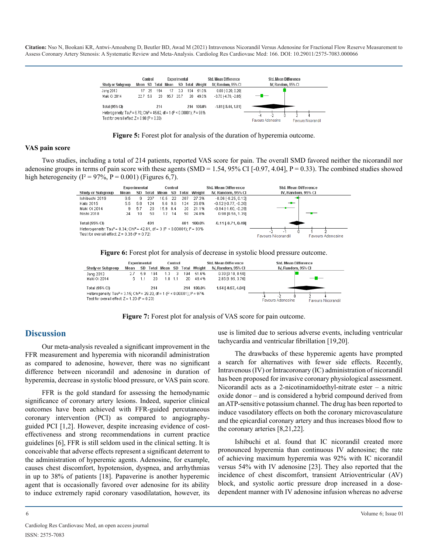



#### **VAS pain score**

Two studies, including a total of 214 patients, reported VAS score for pain. The overall SMD favored neither the nicorandil nor adenosine groups in terms of pain score with these agents (SMD = 1.54, 95% CI [-0.97, 4.04],  $P = 0.33$ ). The combined studies showed high heterogeneity ( $I^2 = 97\%$ ,  $P = 0.001$ ) (Figures 6,7).



**Figure 6:** Forest plot for analysis of decrease in systolic blood pressure outcome.



**Figure 7:** Forest plot for analysis of VAS score for pain outcome.

### **Discussion**

Our meta-analysis revealed a significant improvement in the FFR measurement and hyperemia with nicorandil administration as compared to adenosine, however, there was no significant difference between nicorandil and adenosine in duration of hyperemia, decrease in systolic blood pressure, or VAS pain score.

FFR is the gold standard for assessing the hemodynamic significance of coronary artery lesions. Indeed, superior clinical outcomes have been achieved with FFR-guided percutaneous coronary intervention (PCI) as compared to angiographyguided PCI [1,2]. However, despite increasing evidence of costeffectiveness and strong recommendations in current practice guidelines [6], FFR is still seldom used in the clinical setting. It is conceivable that adverse effects represent a significant deterrent to the administration of hyperemic agents. Adenosine, for example, causes chest discomfort, hypotension, dyspnea, and arrhythmias in up to 38% of patients [18]. Papaverine is another hyperemic agent that is occasionally favored over adenosine for its ability to induce extremely rapid coronary vasodilatation, however, its use is limited due to serious adverse events, including ventricular tachycardia and ventricular fibrillation [19,20].

The drawbacks of these hyperemic agents have prompted a search for alternatives with fewer side effects. Recently, Intravenous (IV) or Intracoronary (IC) administration of nicorandil has been proposed for invasive coronary physiological assessment. Nicorandil acts as a 2-nicotinamidoethyl-nitrate ester – a nitric oxide donor – and is considered a hybrid compound derived from an ATP-sensitive potassium channel. The drug has been reported to induce vasodilatory effects on both the coronary microvasculature and the epicardial coronary artery and thus increases blood flow to the coronary arteries [8,21,22].

Ishibuchi et al. found that IC nicorandil created more pronounced hyperemia than continuous IV adenosine; the rate of achieving maximum hyperemia was 92% with IC nicorandil versus 54% with IV adenosine [23]. They also reported that the incidence of chest discomfort, transient Atrioventricular (AV) block, and systolic aortic pressure drop increased in a dosedependent manner with IV adenosine infusion whereas no adverse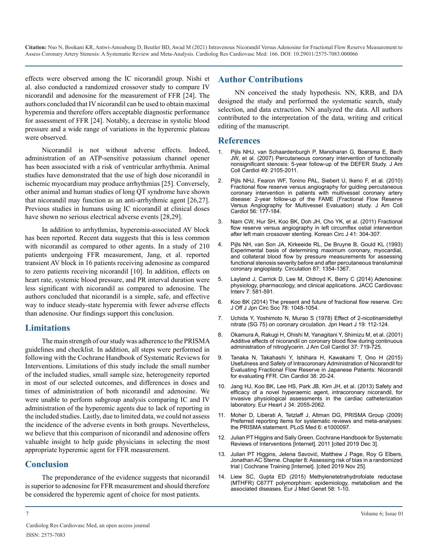effects were observed among the IC nicorandil group. Nishi et al. also conducted a randomized crossover study to compare IV nicorandil and adenosine for the measurement of FFR [24]. The authors concluded that IV nicorandil can be used to obtain maximal hyperemia and therefore offers acceptable diagnostic performance for assessment of FFR [24]. Notably, a decrease in systolic blood pressure and a wide range of variations in the hyperemic plateau were observed.

Nicorandil is not without adverse effects. Indeed, administration of an ATP-sensitive potassium channel opener has been associated with a risk of ventricular arrhythmia. Animal studies have demonstrated that the use of high dose nicorandil in ischemic myocardium may produce arrhythmias [25]. Conversely, other animal and human studies of long QT syndrome have shown that nicorandil may function as an anti-arrhythmic agent [26,27]. Previous studies in humans using IC nicorandil at clinical doses have shown no serious electrical adverse events [28,29].

In addition to arrhythmias, hyperemia-associated AV block has been reported. Recent data suggests that this is less common with nicorandil as compared to other agents. In a study of 210 patients undergoing FFR measurement, Jang, et al. reported transient AV block in 16 patients receiving adenosine as compared to zero patients receiving nicorandil [10]. In addition, effects on heart rate, systemic blood pressure, and PR interval duration were less significant with nicorandil as compared to adenosine. The authors concluded that nicorandil is a simple, safe, and effective way to induce steady-state hyperemia with fewer adverse effects than adenosine. Our findings support this conclusion.

### **Limitations**

The main strength of our study was adherence to the PRISMA guidelines and checklist. In addition, all steps were performed in following with the Cochrane Handbook of Systematic Reviews for Interventions. Limitations of this study include the small number of the included studies, small sample size, heterogeneity reported in most of our selected outcomes, and differences in doses and times of administration of both nicorandil and adenosine. We were unable to perform subgroup analysis comparing IC and IV administration of the hyperemic agents due to lack of reporting in the included studies. Lastly, due to limited data, we could not assess the incidence of the adverse events in both groups. Nevertheless, we believe that this comparison of nicorandil and adenosine offers valuable insight to help guide physicians in selecting the most appropriate hyperemic agent for FFR measurement.

### **Conclusion**

The preponderance of the evidence suggests that nicorandil is superior to adenosine for FFR measurement and should therefore be considered the hyperemic agent of choice for most patients.

### **Author Contributions**

NN conceived the study hypothesis. NN, KRB, and DA designed the study and performed the systematic search, study selection, and data extraction. NN analyzed the data. All authors contributed to the interpretation of the data, writing and critical editing of the manuscript.

### **References**

- 1. [Pijls NHJ, van Schaardenburgh P, Manoharan G, Boersma E, Bech](https://pubmed.ncbi.nlm.nih.gov/17531660/) [JW, et al. \(2007\) Percutaneous coronary intervention of functionally](https://pubmed.ncbi.nlm.nih.gov/17531660/)  [nonsignificant stenosis: 5-year follow-up of the DEFER Study. J Am](https://pubmed.ncbi.nlm.nih.gov/17531660/)  [Coll Cardiol 49: 2105-2011.](https://pubmed.ncbi.nlm.nih.gov/17531660/)
- 2. [Pijls NHJ, Fearon WF, Tonino PAL, Siebert U, Ikeno F, et al. \(2010\)](https://pubmed.ncbi.nlm.nih.gov/20537493/)  [Fractional flow reserve versus angiography for guiding percutaneous](https://pubmed.ncbi.nlm.nih.gov/20537493/)  [coronary intervention in patients with multivessel coronary artery](https://pubmed.ncbi.nlm.nih.gov/20537493/)  [disease: 2-year follow-up of the FAME \(Fractional Flow Reserve](https://pubmed.ncbi.nlm.nih.gov/20537493/)  [Versus Angiography for Multivessel Evaluation\) study. J Am Coll](https://pubmed.ncbi.nlm.nih.gov/20537493/)  [Cardiol 56: 177-184.](https://pubmed.ncbi.nlm.nih.gov/20537493/)
- 3. [Nam CW, Hur SH, Koo BK, Doh JH, Cho YK, et al. \(2011\) Fractional](https://pubmed.ncbi.nlm.nih.gov/21779282/)  [flow reserve versus angiography in left circumflex ostial intervention](https://pubmed.ncbi.nlm.nih.gov/21779282/)  [after left main crossover stenting. Korean Circ J 41: 304-307.](https://pubmed.ncbi.nlm.nih.gov/21779282/)
- 4. [Pijls NH, van Son JA, Kirkeeide RL, De Bruyne B, Gould KL \(1993\)](https://pubmed.ncbi.nlm.nih.gov/8462157/)  [Experimental basis of determining maximum coronary, myocardial,](https://pubmed.ncbi.nlm.nih.gov/8462157/)  [and collateral blood flow by pressure measurements for assessing](https://pubmed.ncbi.nlm.nih.gov/8462157/)  [functional stenosis severity before and after percutaneous transluminal](https://pubmed.ncbi.nlm.nih.gov/8462157/)  [coronary angioplasty. Circulation 87: 1354-1367.](https://pubmed.ncbi.nlm.nih.gov/8462157/)
- 5. [Layland J, Carrick D, Lee M, Oldroyd K, Berry C \(2014\) Adenosine:](https://pubmed.ncbi.nlm.nih.gov/24835328/)  [physiology, pharmacology, and clinical applications. JACC Cardiovasc](https://pubmed.ncbi.nlm.nih.gov/24835328/)  [Interv 7: 581-591.](https://pubmed.ncbi.nlm.nih.gov/24835328/)
- 6. [Koo BK \(2014\) The present and future of fractional flow reserve. Circ](https://pubmed.ncbi.nlm.nih.gov/24727612/)  [J Off J Jpn Circ Soc 78: 1048-1054.](https://pubmed.ncbi.nlm.nih.gov/24727612/)
- 7. [Uchida Y, Yoshimoto N, Murao S \(1978\) Effect of 2-nicotinamidethyl](https://pubmed.ncbi.nlm.nih.gov/148520/)  [nitrate \(SG 75\) on coronary circulation. Jpn Heart J 19: 112-124.](https://pubmed.ncbi.nlm.nih.gov/148520/)
- 8. [Okamura A, Rakugi H, Ohishi M, Yanagitani Y, Shimizu M, et al. \(2001\)](https://pubmed.ncbi.nlm.nih.gov/11693742/#:~:text=Results%3A Additional systemic administration of,without the coronary steal phenomenon.)  [Additive effects of nicorandil on coronary blood flow during continuous](https://pubmed.ncbi.nlm.nih.gov/11693742/#:~:text=Results%3A Additional systemic administration of,without the coronary steal phenomenon.)  [administration of nitroglycerin. J Am Coll Cardiol 37: 719-725.](https://pubmed.ncbi.nlm.nih.gov/11693742/#:~:text=Results%3A Additional systemic administration of,without the coronary steal phenomenon.)
- 9. [Tanaka N, Takahashi Y, Ishihara H, Kawakami T, Ono H \(2015\)](https://pubmed.ncbi.nlm.nih.gov/25626396/)  [Usefulness and Safety of Intracoronary Administration of Nicorandil for](https://pubmed.ncbi.nlm.nih.gov/25626396/)  [Evaluating Fractional Flow Reserve in Japanese Patients: Nicorandil](https://pubmed.ncbi.nlm.nih.gov/25626396/)  [for evaluating FFR. Clin Cardiol 38: 20-24.](https://pubmed.ncbi.nlm.nih.gov/25626396/)
- 10. [Jang HJ, Koo BK, Lee HS, Park JB, Kim JH, et al. \(2013\) Safety and](https://pubmed.ncbi.nlm.nih.gov/23396491/)  [efficacy of a novel hyperaemic agent, intracoronary nicorandil, for](https://pubmed.ncbi.nlm.nih.gov/23396491/) [invasive physiological assessments in the cardiac catheterization](https://pubmed.ncbi.nlm.nih.gov/23396491/)  [laboratory. Eur Heart J 34: 2055-2062.](https://pubmed.ncbi.nlm.nih.gov/23396491/)
- 11. [Moher D, Liberati A, Tetzlaff J, Altman DG, PRISMA Group \(2009\)](https://pubmed.ncbi.nlm.nih.gov/19621072/)  [Preferred reporting items for systematic reviews and meta-analyses:](https://pubmed.ncbi.nlm.nih.gov/19621072/)  [the PRISMA statement. PLoS Med 6: e1000097.](https://pubmed.ncbi.nlm.nih.gov/19621072/)
- 12. [Julian PT Higgins and Sally Green. Cochrane Handbook for Systematic](http://www.cochrane.org/training/cochrane-handbook)  [Reviews of Interventions \[Internet\]. 2011 \[cited 2019 Dec 3\].](http://www.cochrane.org/training/cochrane-handbook)
- 13. [Julian PT Higgins, Jelena Savović, Matthew J Page, Roy G Elbers,](https://training.cochrane.org/handbook/current/chapter-08)  [Jonathan AC Sterne. Chapter 8: Assessing risk of bias in a randomized](https://training.cochrane.org/handbook/current/chapter-08)  [trial | Cochrane Training \[Internet\]. \[cited 2019 Nov 25\].](https://training.cochrane.org/handbook/current/chapter-08)
- 14. [Liew SC, Gupta ED \(2015\) Methylenetetrahydrofolate reductase](https://pubmed.ncbi.nlm.nih.gov/25449138/)  [\(MTHFR\) C677T polymorphism: epidemiology, metabolism and the](https://pubmed.ncbi.nlm.nih.gov/25449138/)  [associated diseases. Eur J Med Genet 58: 1-10.](https://pubmed.ncbi.nlm.nih.gov/25449138/)